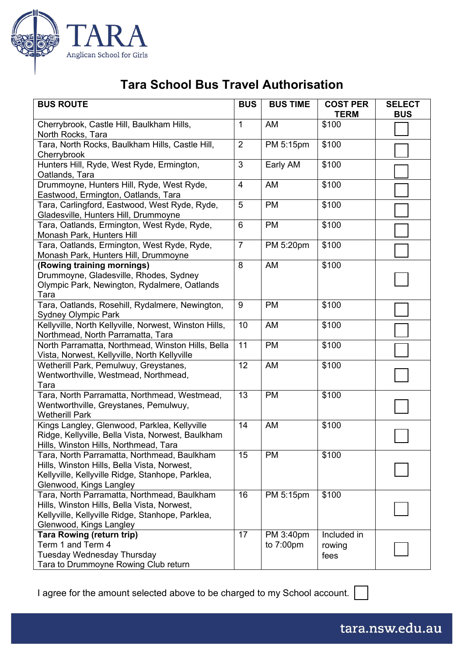

## **Tara School Bus Travel Authorisation**

| <b>BUS ROUTE</b>                                                                           | <b>BUS</b>     | <b>BUS TIME</b>     | <b>COST PER</b> | <b>SELECT</b> |
|--------------------------------------------------------------------------------------------|----------------|---------------------|-----------------|---------------|
|                                                                                            |                |                     | <b>TERM</b>     | <b>BUS</b>    |
| Cherrybrook, Castle Hill, Baulkham Hills,                                                  | $\mathbf{1}$   | AM                  | \$100           |               |
| North Rocks, Tara                                                                          |                |                     |                 |               |
| Tara, North Rocks, Baulkham Hills, Castle Hill,                                            | $\overline{2}$ | PM 5:15pm           | \$100           |               |
| Cherrybrook                                                                                |                |                     |                 |               |
| Hunters Hill, Ryde, West Ryde, Ermington,                                                  | 3              | Early AM            | \$100           |               |
| Oatlands, Tara                                                                             |                |                     |                 |               |
| Drummoyne, Hunters Hill, Ryde, West Ryde,<br>Eastwood, Ermington, Oatlands, Tara           | $\overline{4}$ | <b>AM</b>           | \$100           |               |
| Tara, Carlingford, Eastwood, West Ryde, Ryde,                                              | 5              | <b>PM</b>           | \$100           |               |
| Gladesville, Hunters Hill, Drummoyne                                                       |                |                     |                 |               |
| Tara, Oatlands, Ermington, West Ryde, Ryde,                                                | 6              | <b>PM</b>           | \$100           |               |
| Monash Park, Hunters Hill                                                                  |                |                     |                 |               |
| Tara, Oatlands, Ermington, West Ryde, Ryde,                                                | $\overline{7}$ | PM 5:20pm           | \$100           |               |
| Monash Park, Hunters Hill, Drummoyne                                                       |                |                     |                 |               |
| (Rowing training mornings)                                                                 | 8              | AM                  | \$100           |               |
| Drummoyne, Gladesville, Rhodes, Sydney                                                     |                |                     |                 |               |
| Olympic Park, Newington, Rydalmere, Oatlands                                               |                |                     |                 |               |
| Tara                                                                                       |                |                     |                 |               |
| Tara, Oatlands, Rosehill, Rydalmere, Newington,                                            | 9              | <b>PM</b>           | \$100           |               |
| <b>Sydney Olympic Park</b>                                                                 |                |                     |                 |               |
| Kellyville, North Kellyville, Norwest, Winston Hills,<br>Northmead, North Parramatta, Tara | 10             | AM                  | \$100           |               |
| North Parramatta, Northmead, Winston Hills, Bella                                          | 11             | <b>PM</b>           | \$100           |               |
| Vista, Norwest, Kellyville, North Kellyville                                               |                |                     |                 |               |
| Wetherill Park, Pemulwuy, Greystanes,                                                      | 12             | AM                  | \$100           |               |
| Wentworthville, Westmead, Northmead,                                                       |                |                     |                 |               |
| Tara                                                                                       |                |                     |                 |               |
| Tara, North Parramatta, Northmead, Westmead,                                               | 13             | <b>PM</b>           | \$100           |               |
| Wentworthville, Greystanes, Pemulwuy,                                                      |                |                     |                 |               |
| <b>Wetherill Park</b>                                                                      |                |                     |                 |               |
| Kings Langley, Glenwood, Parklea, Kellyville                                               | 14             | AM                  | \$100           |               |
| Ridge, Kellyville, Bella Vista, Norwest, Baulkham                                          |                |                     |                 |               |
| Hills, Winston Hills, Northmead, Tara<br>Tara, North Parramatta, Northmead, Baulkham       | 15             | <b>PM</b>           | \$100           |               |
| Hills, Winston Hills, Bella Vista, Norwest,                                                |                |                     |                 |               |
| Kellyville, Kellyville Ridge, Stanhope, Parklea,                                           |                |                     |                 |               |
| Glenwood, Kings Langley                                                                    |                |                     |                 |               |
| Tara, North Parramatta, Northmead, Baulkham                                                | 16             | PM 5:15pm           | \$100           |               |
| Hills, Winston Hills, Bella Vista, Norwest,                                                |                |                     |                 |               |
| Kellyville, Kellyville Ridge, Stanhope, Parklea,                                           |                |                     |                 |               |
| Glenwood, Kings Langley                                                                    |                |                     |                 |               |
| <b>Tara Rowing (return trip)</b>                                                           | 17             | PM 3:40pm           | Included in     |               |
| Term 1 and Term 4                                                                          |                | to $7:00 \text{pm}$ | rowing          |               |
| <b>Tuesday Wednesday Thursday</b>                                                          |                |                     | fees            |               |
| Tara to Drummoyne Rowing Club return                                                       |                |                     |                 |               |

I agree for the amount selected above to be charged to my School account. [